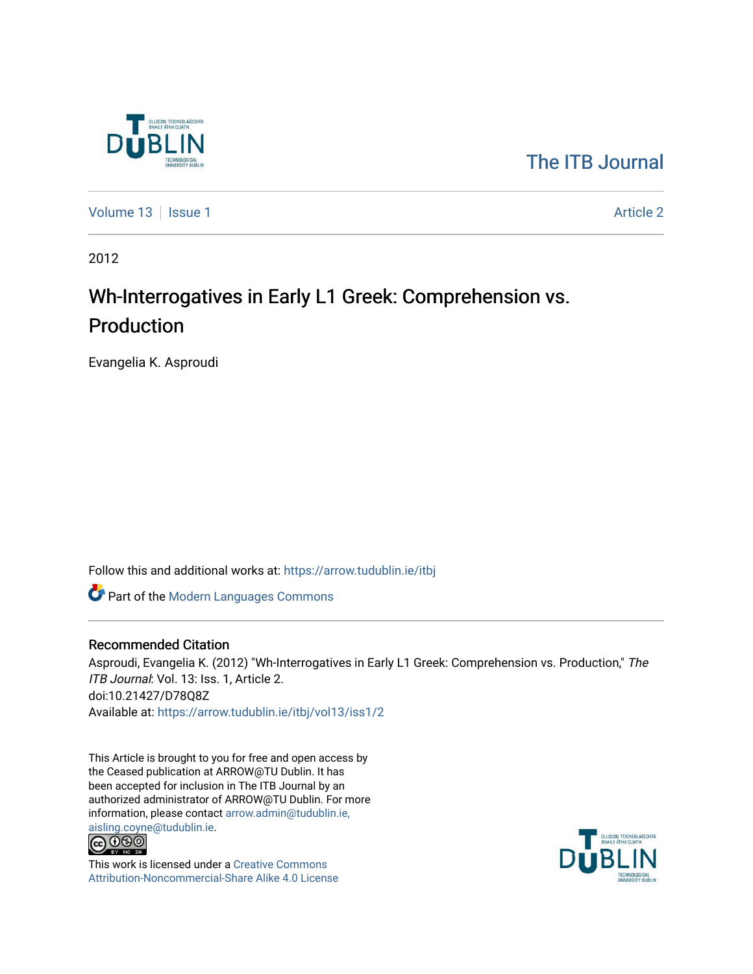

# [The ITB Journal](https://arrow.tudublin.ie/itbj)

[Volume 13](https://arrow.tudublin.ie/itbj/vol13) | [Issue 1](https://arrow.tudublin.ie/itbj/vol13/iss1) Article 2

2012

# Wh-Interrogatives in Early L1 Greek: Comprehension vs. Production

Evangelia K. Asproudi

Follow this and additional works at: [https://arrow.tudublin.ie/itbj](https://arrow.tudublin.ie/itbj?utm_source=arrow.tudublin.ie%2Fitbj%2Fvol13%2Fiss1%2F2&utm_medium=PDF&utm_campaign=PDFCoverPages) 

Part of the [Modern Languages Commons](http://network.bepress.com/hgg/discipline/1130?utm_source=arrow.tudublin.ie%2Fitbj%2Fvol13%2Fiss1%2F2&utm_medium=PDF&utm_campaign=PDFCoverPages) 

#### Recommended Citation

Asproudi, Evangelia K. (2012) "Wh-Interrogatives in Early L1 Greek: Comprehension vs. Production," The ITB Journal: Vol. 13: Iss. 1, Article 2. doi:10.21427/D78Q8Z Available at: [https://arrow.tudublin.ie/itbj/vol13/iss1/2](https://arrow.tudublin.ie/itbj/vol13/iss1/2?utm_source=arrow.tudublin.ie%2Fitbj%2Fvol13%2Fiss1%2F2&utm_medium=PDF&utm_campaign=PDFCoverPages)

This Article is brought to you for free and open access by the Ceased publication at ARROW@TU Dublin. It has been accepted for inclusion in The ITB Journal by an authorized administrator of ARROW@TU Dublin. For more information, please contact [arrow.admin@tudublin.ie,](mailto:arrow.admin@tudublin.ie,%20aisling.coyne@tudublin.ie)  [aisling.coyne@tudublin.ie.](mailto:arrow.admin@tudublin.ie,%20aisling.coyne@tudublin.ie)<br>© 000



This work is licensed under a [Creative Commons](http://creativecommons.org/licenses/by-nc-sa/4.0/) [Attribution-Noncommercial-Share Alike 4.0 License](http://creativecommons.org/licenses/by-nc-sa/4.0/)

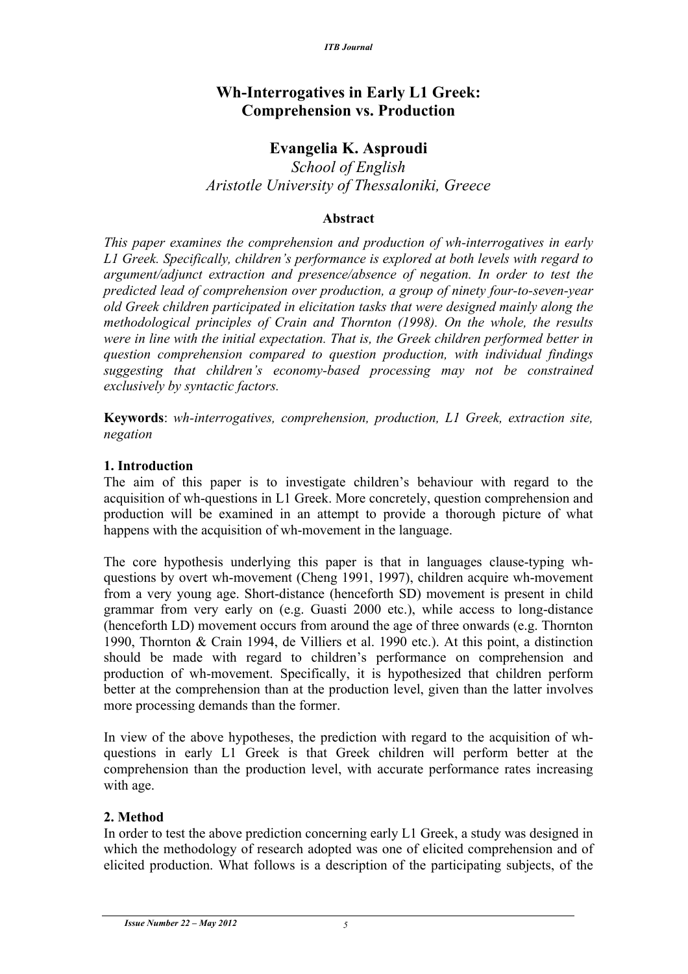# **Wh-Interrogatives in Early L1 Greek: Comprehension vs. Production**

# **Evangelia K. Asproudi**

*School of English Aristotle University of Thessaloniki, Greece*

#### **Abstract**

*This paper examines the comprehension and production of wh-interrogatives in early L1 Greek. Specifically, children's performance is explored at both levels with regard to argument/adjunct extraction and presence/absence of negation. In order to test the predicted lead of comprehension over production, a group of ninety four-to-seven-year old Greek children participated in elicitation tasks that were designed mainly along the methodological principles of Crain and Thornton (1998). On the whole, the results were in line with the initial expectation. That is, the Greek children performed better in question comprehension compared to question production, with individual findings suggesting that children's economy-based processing may not be constrained exclusively by syntactic factors.* 

**Keywords**: *wh-interrogatives, comprehension, production, L1 Greek, extraction site, negation*

# **1. Introduction**

The aim of this paper is to investigate children's behaviour with regard to the acquisition of wh-questions in L1 Greek. More concretely, question comprehension and production will be examined in an attempt to provide a thorough picture of what happens with the acquisition of wh-movement in the language.

The core hypothesis underlying this paper is that in languages clause-typing whquestions by overt wh-movement (Cheng 1991, 1997), children acquire wh-movement from a very young age. Short-distance (henceforth SD) movement is present in child grammar from very early on (e.g. Guasti 2000 etc.), while access to long-distance (henceforth LD) movement occurs from around the age of three onwards (e.g. Thornton 1990, Thornton & Crain 1994, de Villiers et al. 1990 etc.). At this point, a distinction should be made with regard to children's performance on comprehension and production of wh-movement. Specifically, it is hypothesized that children perform better at the comprehension than at the production level, given than the latter involves more processing demands than the former.

In view of the above hypotheses, the prediction with regard to the acquisition of whquestions in early L1 Greek is that Greek children will perform better at the comprehension than the production level, with accurate performance rates increasing with age.

# **2. Method**

In order to test the above prediction concerning early L1 Greek, a study was designed in which the methodology of research adopted was one of elicited comprehension and of elicited production. What follows is a description of the participating subjects, of the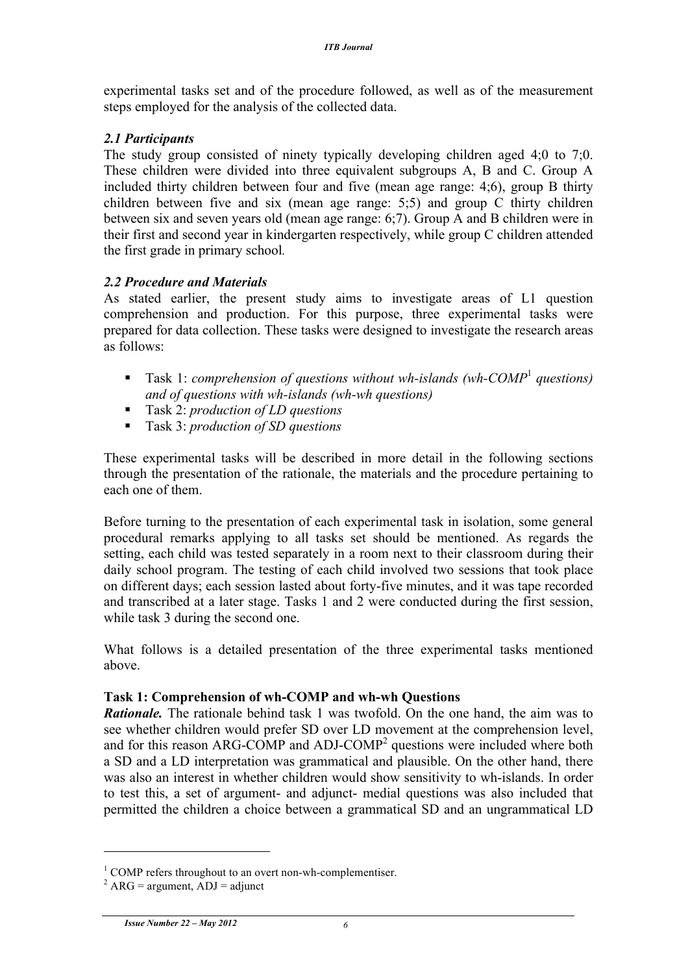experimental tasks set and of the procedure followed, as well as of the measurement steps employed for the analysis of the collected data.

# *2.1 Participants*

The study group consisted of ninety typically developing children aged 4;0 to 7;0. These children were divided into three equivalent subgroups A, B and C. Group A included thirty children between four and five (mean age range: 4;6), group B thirty children between five and six (mean age range: 5;5) and group C thirty children between six and seven years old (mean age range: 6;7). Group A and B children were in their first and second year in kindergarten respectively, while group C children attended the first grade in primary school*.* 

# *2.2 Procedure and Materials*

As stated earlier, the present study aims to investigate areas of L1 question comprehension and production. For this purpose, three experimental tasks were prepared for data collection. These tasks were designed to investigate the research areas as follows:

- Task 1: *comprehension of questions without wh-islands (wh-COMP<sup>1</sup> questions) and of questions with wh-islands (wh-wh questions)*
- Task 2: *production of LD questions*
- Task 3: *production of SD questions*

These experimental tasks will be described in more detail in the following sections through the presentation of the rationale, the materials and the procedure pertaining to each one of them.

Before turning to the presentation of each experimental task in isolation, some general procedural remarks applying to all tasks set should be mentioned. As regards the setting, each child was tested separately in a room next to their classroom during their daily school program. The testing of each child involved two sessions that took place on different days; each session lasted about forty-five minutes, and it was tape recorded and transcribed at a later stage. Tasks 1 and 2 were conducted during the first session, while task 3 during the second one.

What follows is a detailed presentation of the three experimental tasks mentioned above.

# **Task 1: Comprehension of wh-COMP and wh-wh Questions**

*Rationale.* The rationale behind task 1 was twofold. On the one hand, the aim was to see whether children would prefer SD over LD movement at the comprehension level, and for this reason ARG-COMP and ADJ-COMP<sup>2</sup> questions were included where both a SD and a LD interpretation was grammatical and plausible. On the other hand, there was also an interest in whether children would show sensitivity to wh-islands. In order to test this, a set of argument- and adjunct- medial questions was also included that permitted the children a choice between a grammatical SD and an ungrammatical LD

<sup>&</sup>lt;sup>1</sup> COMP refers throughout to an overt non-wh-complementiser.<br><sup>2</sup> ARG = argument, ADJ = adjunct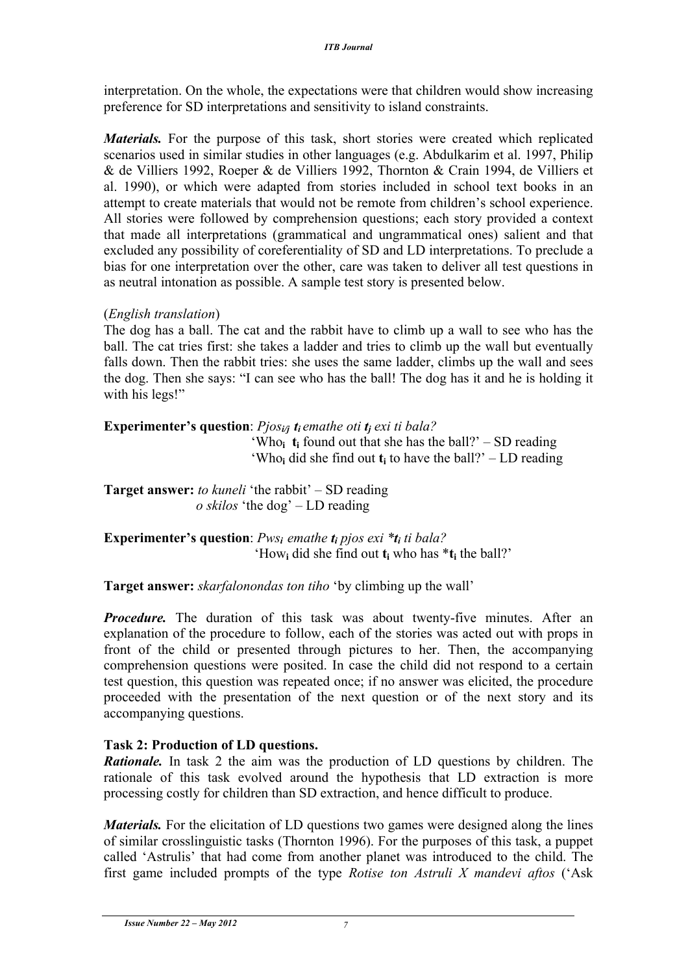interpretation. On the whole, the expectations were that children would show increasing preference for SD interpretations and sensitivity to island constraints.

*Materials.* For the purpose of this task, short stories were created which replicated scenarios used in similar studies in other languages (e.g. Abdulkarim et al. 1997, Philip & de Villiers 1992, Roeper & de Villiers 1992, Thornton & Crain 1994, de Villiers et al. 1990), or which were adapted from stories included in school text books in an attempt to create materials that would not be remote from children's school experience. All stories were followed by comprehension questions; each story provided a context that made all interpretations (grammatical and ungrammatical ones) salient and that excluded any possibility of coreferentiality of SD and LD interpretations. To preclude a bias for one interpretation over the other, care was taken to deliver all test questions in as neutral intonation as possible. A sample test story is presented below.

# (*English translation*)

The dog has a ball. The cat and the rabbit have to climb up a wall to see who has the ball. The cat tries first: she takes a ladder and tries to climb up the wall but eventually falls down. Then the rabbit tries: she uses the same ladder, climbs up the wall and sees the dog. Then she says: "I can see who has the ball! The dog has it and he is holding it with his legs!"

**Experimenter's question**: *Pjos<sub>i/j</sub> t<sub>i</sub>**emathe oti* **<b>***t<sub>i</sub> exi ti bala?*  $^{\circ}$ Who<sub>i</sub> **t**<sub>i</sub> found out that she has the ball?' – SD reading  $^{\circ}$ Who<sub>i</sub> did she find out **t**<sub>i</sub> to have the ball?' – LD reading

**Target answer:** *to kuneli* 'the rabbit' – SD reading *o skilos* 'the dog' – LD reading

**Experimenter's question**: *Pwsi emathe ti pjos exi \*ti ti bala?* 'How**<sup>i</sup>** did she find out **ti** who has \***ti** the ball?'

**Target answer:** *skarfalonondas ton tiho* 'by climbing up the wall'

*Procedure.* The duration of this task was about twenty-five minutes. After an explanation of the procedure to follow, each of the stories was acted out with props in front of the child or presented through pictures to her. Then, the accompanying comprehension questions were posited. In case the child did not respond to a certain test question, this question was repeated once; if no answer was elicited, the procedure proceeded with the presentation of the next question or of the next story and its accompanying questions.

# **Task 2: Production of LD questions.**

*Rationale.* In task 2 the aim was the production of LD questions by children. The rationale of this task evolved around the hypothesis that LD extraction is more processing costly for children than SD extraction, and hence difficult to produce.

*Materials.* For the elicitation of LD questions two games were designed along the lines of similar crosslinguistic tasks (Thornton 1996). For the purposes of this task, a puppet called 'Astrulis' that had come from another planet was introduced to the child. The first game included prompts of the type *Rotise ton Astruli X mandevi aftos* ('Ask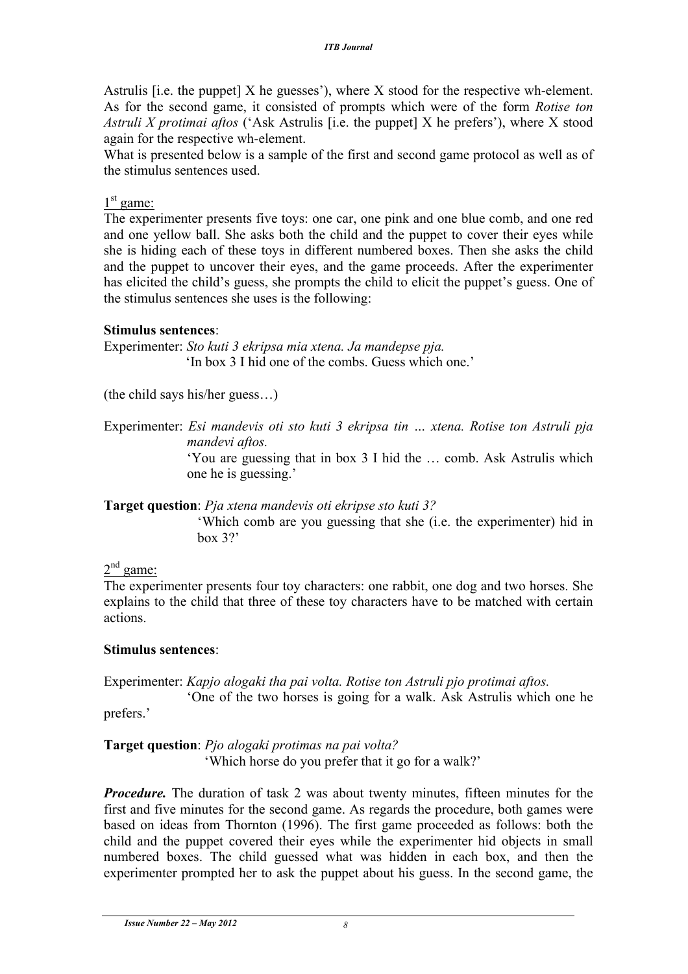Astrulis [i.e. the puppet]  $X$  he guesses'), where  $X$  stood for the respective wh-element. As for the second game, it consisted of prompts which were of the form *Rotise ton Astruli X protimai aftos* ('Ask Astrulis [i.e. the puppet] X he prefers'), where X stood again for the respective wh-element.

What is presented below is a sample of the first and second game protocol as well as of the stimulus sentences used.

# $1<sup>st</sup>$  game:

The experimenter presents five toys: one car, one pink and one blue comb, and one red and one yellow ball. She asks both the child and the puppet to cover their eyes while she is hiding each of these toys in different numbered boxes. Then she asks the child and the puppet to uncover their eyes, and the game proceeds. After the experimenter has elicited the child's guess, she prompts the child to elicit the puppet's guess. One of the stimulus sentences she uses is the following:

#### **Stimulus sentences**:

Experimenter: *Sto kuti 3 ekripsa mia xtena. Ja mandepse pja.* 'In box 3 I hid one of the combs. Guess which one.'

(the child says his/her guess…)

Experimenter: *Esi mandevis oti sto kuti 3 ekripsa tin … xtena. Rotise ton Astruli pja mandevi aftos.*

'You are guessing that in box 3 I hid the … comb. Ask Astrulis which one he is guessing.'

**Target question**: *Pja xtena mandevis oti ekripse sto kuti 3?*

'Which comb are you guessing that she (i.e. the experimenter) hid in  $box~3?$ 

# $2<sup>nd</sup>$  game:

The experimenter presents four toy characters: one rabbit, one dog and two horses. She explains to the child that three of these toy characters have to be matched with certain actions.

#### **Stimulus sentences**:

Experimenter: *Kapjo alogaki tha pai volta. Rotise ton Astruli pjo protimai aftos.*

'One of the two horses is going for a walk. Ask Astrulis which one he prefers.'

**Target question**: *Pjo alogaki protimas na pai volta?* 'Which horse do you prefer that it go for a walk?'

*Procedure.* The duration of task 2 was about twenty minutes, fifteen minutes for the first and five minutes for the second game. As regards the procedure, both games were based on ideas from Thornton (1996). The first game proceeded as follows: both the child and the puppet covered their eyes while the experimenter hid objects in small numbered boxes. The child guessed what was hidden in each box, and then the experimenter prompted her to ask the puppet about his guess. In the second game, the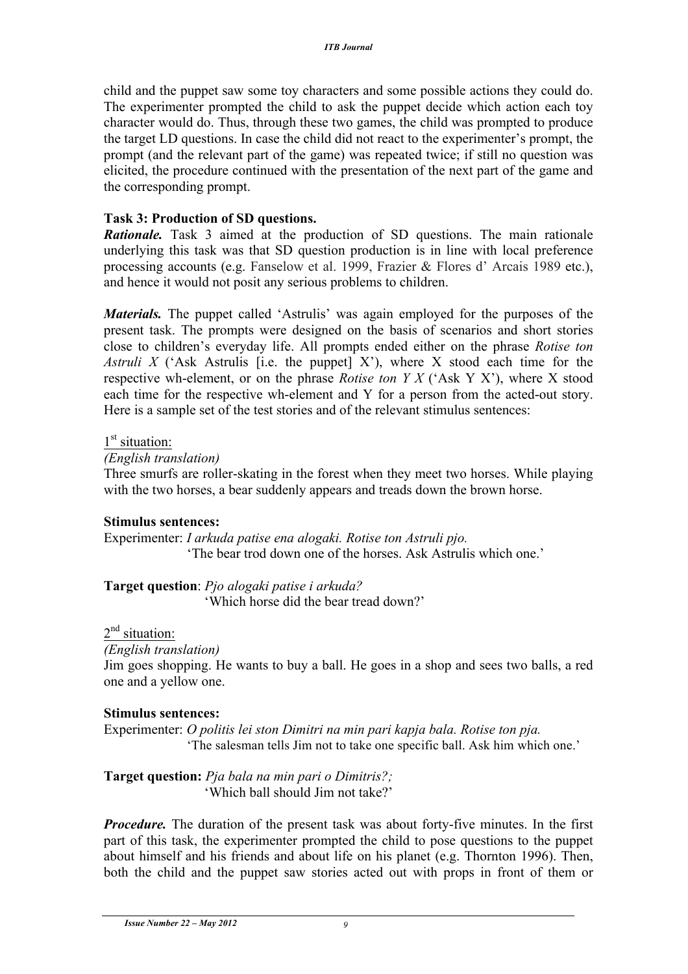child and the puppet saw some toy characters and some possible actions they could do. The experimenter prompted the child to ask the puppet decide which action each toy character would do. Thus, through these two games, the child was prompted to produce the target LD questions. In case the child did not react to the experimenter's prompt, the prompt (and the relevant part of the game) was repeated twice; if still no question was elicited, the procedure continued with the presentation of the next part of the game and the corresponding prompt.

# **Task 3: Production of SD questions.**

*Rationale.* Task 3 aimed at the production of SD questions. The main rationale underlying this task was that SD question production is in line with local preference processing accounts (e.g. Fanselow et al. 1999, Frazier & Flores d' Arcais 1989 etc.), and hence it would not posit any serious problems to children.

*Materials.* The puppet called 'Astrulis' was again employed for the purposes of the present task. The prompts were designed on the basis of scenarios and short stories close to children's everyday life. All prompts ended either on the phrase *Rotise ton Astruli X* ('Ask Astrulis [i.e. the puppet] X'), where X stood each time for the respective wh-element, or on the phrase *Rotise ton Y X* ('Ask Y X'), where X stood each time for the respective wh-element and Y for a person from the acted-out story. Here is a sample set of the test stories and of the relevant stimulus sentences:

#### $1<sup>st</sup>$  situation:

#### *(English translation)*

Three smurfs are roller-skating in the forest when they meet two horses. While playing with the two horses, a bear suddenly appears and treads down the brown horse.

# **Stimulus sentences:**

Experimenter: *I arkuda patise ena alogaki. Rotise ton Astruli pjo.* 'The bear trod down one of the horses. Ask Astrulis which one.'

**Target question**: *Pjo alogaki patise i arkuda?* 'Which horse did the bear tread down?'

# 2<sup>nd</sup> situation:

#### *(English translation)*

Jim goes shopping. He wants to buy a ball. He goes in a shop and sees two balls, a red one and a yellow one.

#### **Stimulus sentences:**

Experimenter: *O politis lei ston Dimitri na min pari kapja bala. Rotise ton pja.* 'The salesman tells Jim not to take one specific ball. Ask him which one.'

**Target question:** *Pja bala na min pari o Dimitris?;* 'Which ball should Jim not take?'

*Procedure.* The duration of the present task was about forty-five minutes. In the first part of this task, the experimenter prompted the child to pose questions to the puppet about himself and his friends and about life on his planet (e.g. Thornton 1996). Then, both the child and the puppet saw stories acted out with props in front of them or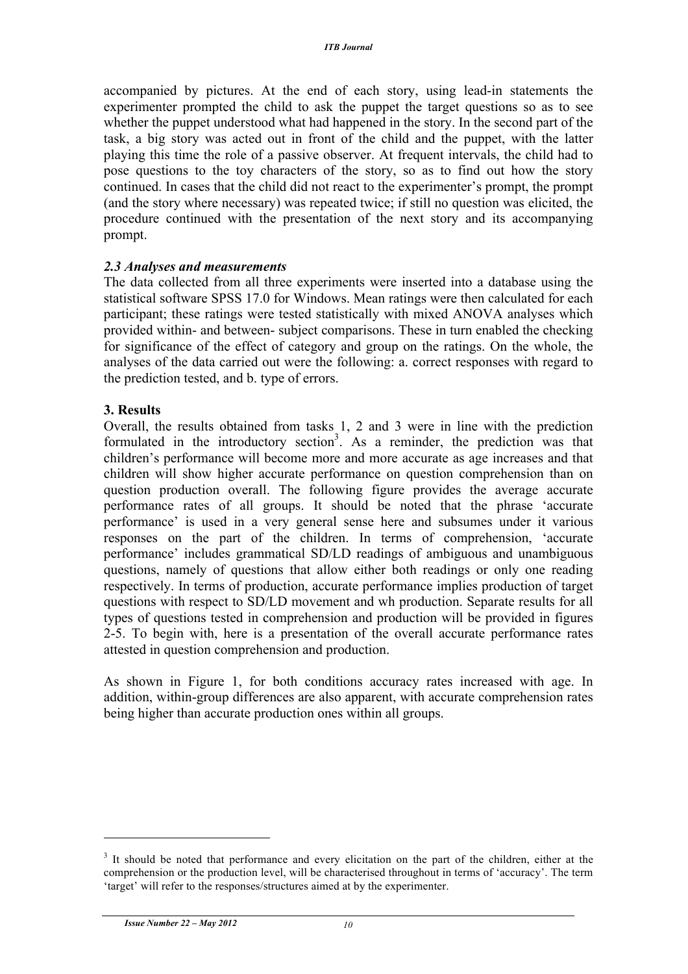accompanied by pictures. At the end of each story, using lead-in statements the experimenter prompted the child to ask the puppet the target questions so as to see whether the puppet understood what had happened in the story. In the second part of the task, a big story was acted out in front of the child and the puppet, with the latter playing this time the role of a passive observer. At frequent intervals, the child had to pose questions to the toy characters of the story, so as to find out how the story continued. In cases that the child did not react to the experimenter's prompt, the prompt (and the story where necessary) was repeated twice; if still no question was elicited, the procedure continued with the presentation of the next story and its accompanying prompt.

#### *2.3 Analyses and measurements*

The data collected from all three experiments were inserted into a database using the statistical software SPSS 17.0 for Windows. Mean ratings were then calculated for each participant; these ratings were tested statistically with mixed ANOVA analyses which provided within- and between- subject comparisons. These in turn enabled the checking for significance of the effect of category and group on the ratings. On the whole, the analyses of the data carried out were the following: a. correct responses with regard to the prediction tested, and b. type of errors.

#### **3. Results**

Overall, the results obtained from tasks 1, 2 and 3 were in line with the prediction formulated in the introductory section<sup>3</sup>. As a reminder, the prediction was that children's performance will become more and more accurate as age increases and that children will show higher accurate performance on question comprehension than on question production overall. The following figure provides the average accurate performance rates of all groups. It should be noted that the phrase 'accurate performance' is used in a very general sense here and subsumes under it various responses on the part of the children. In terms of comprehension, 'accurate performance' includes grammatical SD/LD readings of ambiguous and unambiguous questions, namely of questions that allow either both readings or only one reading respectively. In terms of production, accurate performance implies production of target questions with respect to SD/LD movement and wh production. Separate results for all types of questions tested in comprehension and production will be provided in figures 2-5. To begin with, here is a presentation of the overall accurate performance rates attested in question comprehension and production.

As shown in Figure 1, for both conditions accuracy rates increased with age. In addition, within-group differences are also apparent, with accurate comprehension rates being higher than accurate production ones within all groups.

<sup>&</sup>lt;sup>3</sup> It should be noted that performance and every elicitation on the part of the children, either at the comprehension or the production level, will be characterised throughout in terms of 'accuracy'. The term 'target' will refer to the responses/structures aimed at by the experimenter.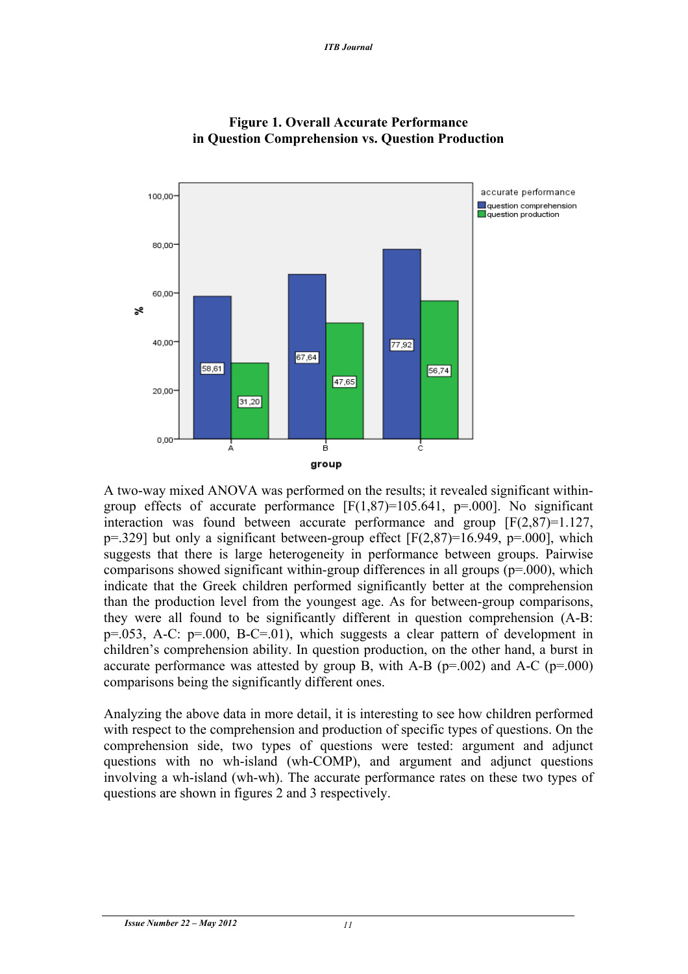



A two-way mixed ANOVA was performed on the results; it revealed significant withingroup effects of accurate performance  $[F(1,87)=105.641, p=.000]$ . No significant interaction was found between accurate performance and group [F(2,87)=1.127,  $p=329$ ] but only a significant between-group effect  $[F(2,87)=16.949, p=.000]$ , which suggests that there is large heterogeneity in performance between groups. Pairwise comparisons showed significant within-group differences in all groups (p=.000), which indicate that the Greek children performed significantly better at the comprehension than the production level from the youngest age. As for between-group comparisons, they were all found to be significantly different in question comprehension (A-B: p=.053, A-C: p=.000, B-C=.01), which suggests a clear pattern of development in children's comprehension ability. In question production, on the other hand, a burst in accurate performance was attested by group B, with A-B ( $p=0.002$ ) and A-C ( $p=0.000$ ) comparisons being the significantly different ones.

Analyzing the above data in more detail, it is interesting to see how children performed with respect to the comprehension and production of specific types of questions. On the comprehension side, two types of questions were tested: argument and adjunct questions with no wh-island (wh-COMP), and argument and adjunct questions involving a wh-island (wh-wh). The accurate performance rates on these two types of questions are shown in figures 2 and 3 respectively.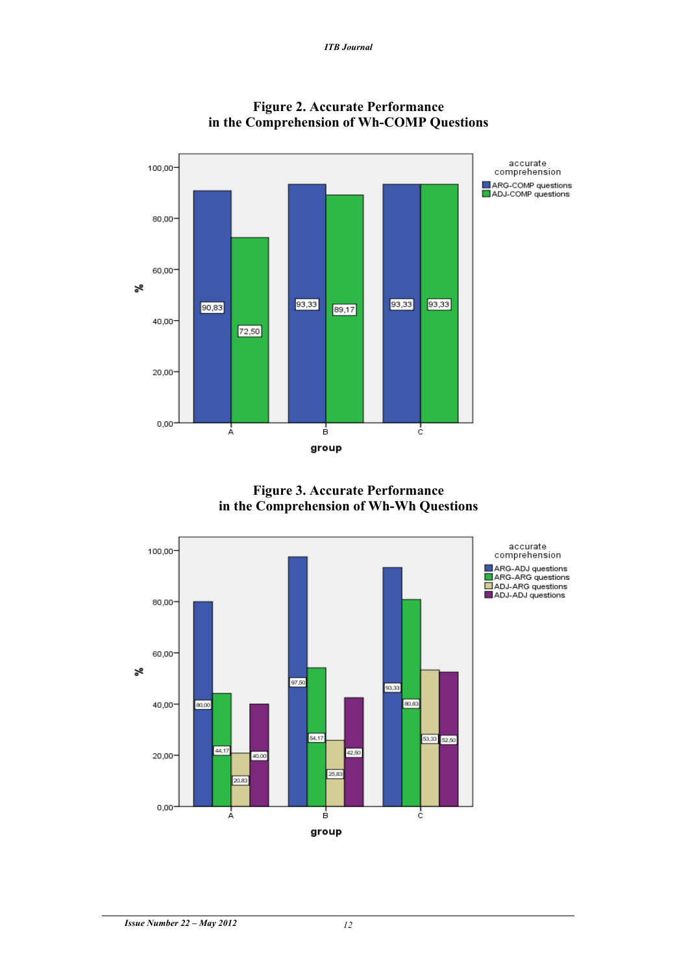

**Figure 2. Accurate Performance in the Comprehension of Wh-COMP Questions**

**Figure 3. Accurate Performance in the Comprehension of Wh-Wh Questions**

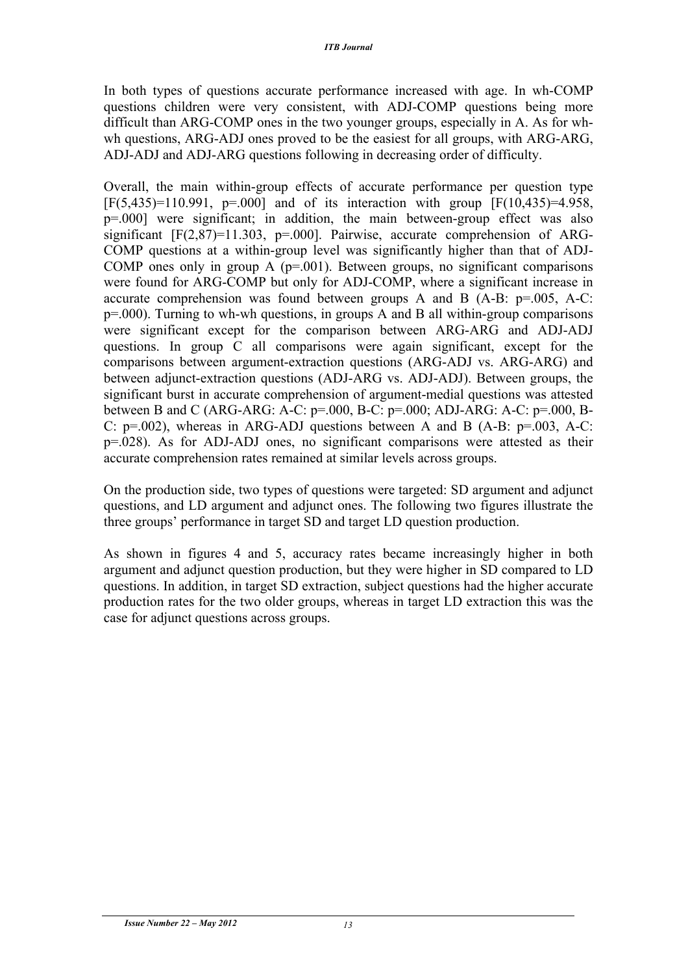In both types of questions accurate performance increased with age. In wh-COMP questions children were very consistent, with ADJ-COMP questions being more difficult than ARG-COMP ones in the two younger groups, especially in A. As for whwh questions, ARG-ADJ ones proved to be the easiest for all groups, with ARG-ARG, ADJ-ADJ and ADJ-ARG questions following in decreasing order of difficulty.

Overall, the main within-group effects of accurate performance per question type  $[F(5,435)=110.991, p=.000]$  and of its interaction with group  $[F(10,435)=4.958]$ , p=.000] were significant; in addition, the main between-group effect was also significant  $[F(2,87)=11.303, p=.000]$ . Pairwise, accurate comprehension of ARG-COMP questions at a within-group level was significantly higher than that of ADJ-COMP ones only in group A  $(p=0.001)$ . Between groups, no significant comparisons were found for ARG-COMP but only for ADJ-COMP, where a significant increase in accurate comprehension was found between groups A and B  $(A-B: p=.005, A-C:$ p=.000). Turning to wh-wh questions, in groups A and B all within-group comparisons were significant except for the comparison between ARG-ARG and ADJ-ADJ questions. In group C all comparisons were again significant, except for the comparisons between argument-extraction questions (ARG-ADJ vs. ARG-ARG) and between adjunct-extraction questions (ADJ-ARG vs. ADJ-ADJ). Between groups, the significant burst in accurate comprehension of argument-medial questions was attested between B and C (ARG-ARG: A-C: p=.000, B-C: p=.000; ADJ-ARG: A-C: p=.000, B-C:  $p=0.002$ ), whereas in ARG-ADJ questions between A and B (A-B:  $p=0.003$ , A-C: p=.028). As for ADJ-ADJ ones, no significant comparisons were attested as their accurate comprehension rates remained at similar levels across groups.

On the production side, two types of questions were targeted: SD argument and adjunct questions, and LD argument and adjunct ones. The following two figures illustrate the three groups' performance in target SD and target LD question production.

As shown in figures 4 and 5, accuracy rates became increasingly higher in both argument and adjunct question production, but they were higher in SD compared to LD questions. In addition, in target SD extraction, subject questions had the higher accurate production rates for the two older groups, whereas in target LD extraction this was the case for adjunct questions across groups.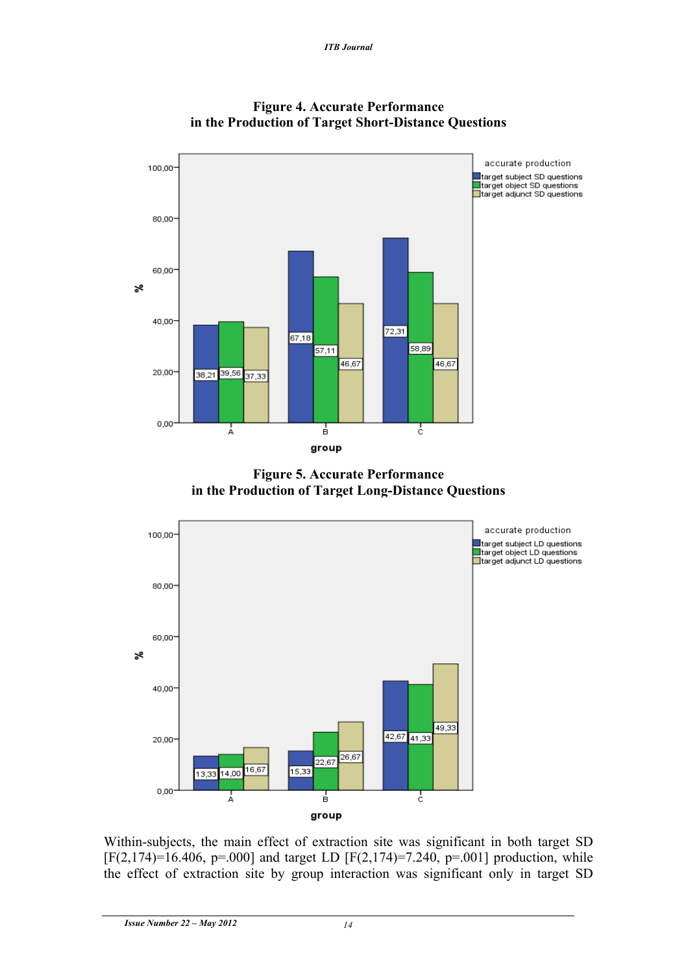



**Figure 5. Accurate Performance in the Production of Target Long-Distance Questions**



Within-subjects, the main effect of extraction site was significant in both target SD  $[F(2,174)=16.406, p=.000]$  and target LD  $[F(2,174)=7.240, p=.001]$  production, while the effect of extraction site by group interaction was significant only in target SD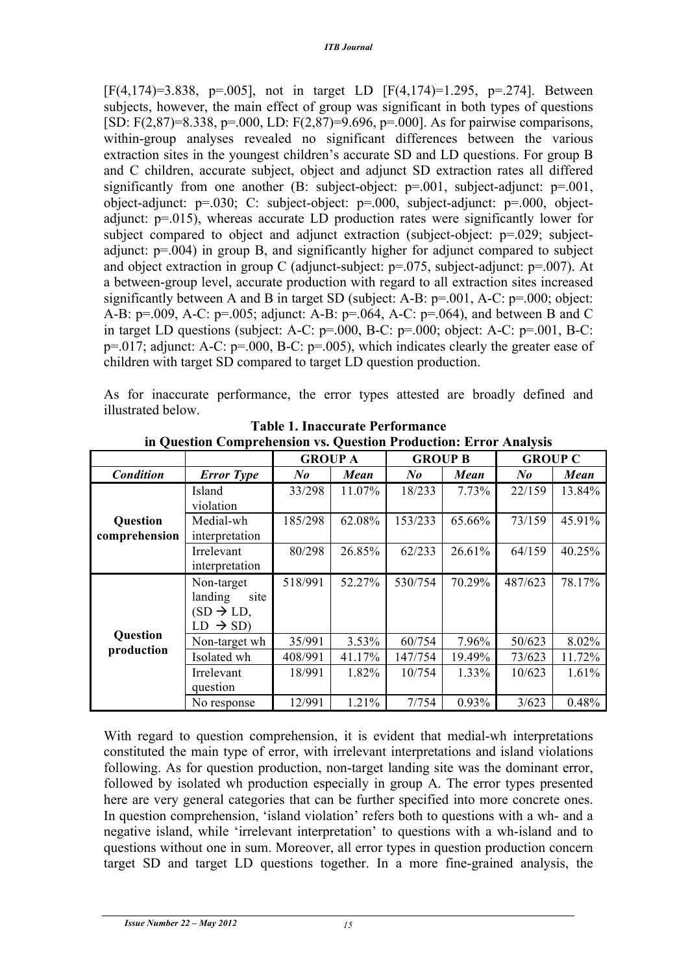[F(4,174)=3.838, p=.005], not in target LD [F(4,174)=1.295, p=.274]. Between subjects, however, the main effect of group was significant in both types of questions [SD: F(2,87)=8.338, p=.000, LD: F(2,87)=9.696, p=.000]. As for pairwise comparisons, within-group analyses revealed no significant differences between the various extraction sites in the youngest children's accurate SD and LD questions. For group B and C children, accurate subject, object and adjunct SD extraction rates all differed significantly from one another (B: subject-object:  $p=0.001$ , subject-adjunct:  $p=0.001$ , object-adjunct: p=.030; C: subject-object: p=.000, subject-adjunct: p=.000, objectadjunct: p=.015), whereas accurate LD production rates were significantly lower for subject compared to object and adjunct extraction (subject-object: p=.029; subjectadjunct: p=.004) in group B, and significantly higher for adjunct compared to subject and object extraction in group C (adjunct-subject: p=.075, subject-adjunct: p=.007). At a between-group level, accurate production with regard to all extraction sites increased significantly between A and B in target SD (subject: A-B:  $p=0.001$ , A-C:  $p=0.000$ ; object: A-B: p=.009, A-C: p=.005; adjunct: A-B: p=.064, A-C: p=.064), and between B and C in target LD questions (subject: A-C: p=.000, B-C: p=.000; object: A-C: p=.001, B-C: p=.017; adjunct: A-C: p=.000, B-C: p=.005), which indicates clearly the greater ease of children with target SD compared to target LD question production.

As for inaccurate performance, the error types attested are broadly defined and illustrated below.

|                        |                       | <b>GROUP A</b> |        | <b>GROUP B</b>       |        | <b>GROUP C</b> |        |
|------------------------|-----------------------|----------------|--------|----------------------|--------|----------------|--------|
| <b>Condition</b>       | <b>Error</b> Type     | No             | Mean   | $N_{\boldsymbol{0}}$ | Mean   | $N_{0}$        | Mean   |
|                        | Island                | 33/298         | 11.07% | 18/233               | 7.73%  | 22/159         | 13.84% |
|                        | violation             |                |        |                      |        |                |        |
| Question               | Medial-wh             | 185/298        | 62.08% | 153/233              | 65.66% | 73/159         | 45.91% |
| comprehension          | interpretation        |                |        |                      |        |                |        |
|                        | Irrelevant            | 80/298         | 26.85% | 62/233               | 26.61% | 64/159         | 40.25% |
|                        | interpretation        |                |        |                      |        |                |        |
|                        | Non-target            | 518/991        | 52.27% | 530/754              | 70.29% | 487/623        | 78.17% |
|                        | landing<br>site       |                |        |                      |        |                |        |
|                        | $SD \rightarrow LD$ , |                |        |                      |        |                |        |
| Question<br>production | $LD \rightarrow SD$   |                |        |                      |        |                |        |
|                        | Non-target wh         | 35/991         | 3.53%  | 60/754               | 7.96%  | 50/623         | 8.02%  |
|                        | Isolated wh           | 408/991        | 41.17% | 147/754              | 19.49% | 73/623         | 11.72% |
|                        | Irrelevant            | 18/991         | 1.82%  | 10/754               | 1.33%  | 10/623         | 1.61%  |
|                        | question              |                |        |                      |        |                |        |
|                        | No response           | 12/991         | 1.21%  | 7/754                | 0.93%  | 3/623          | 0.48%  |

**Table 1. Inaccurate Performance in Question Comprehension vs. Question Production: Error Analysis**

With regard to question comprehension, it is evident that medial-wh interpretations constituted the main type of error, with irrelevant interpretations and island violations following. As for question production, non-target landing site was the dominant error, followed by isolated wh production especially in group A. The error types presented here are very general categories that can be further specified into more concrete ones. In question comprehension, 'island violation' refers both to questions with a wh- and a negative island, while 'irrelevant interpretation' to questions with a wh-island and to questions without one in sum. Moreover, all error types in question production concern target SD and target LD questions together. In a more fine-grained analysis, the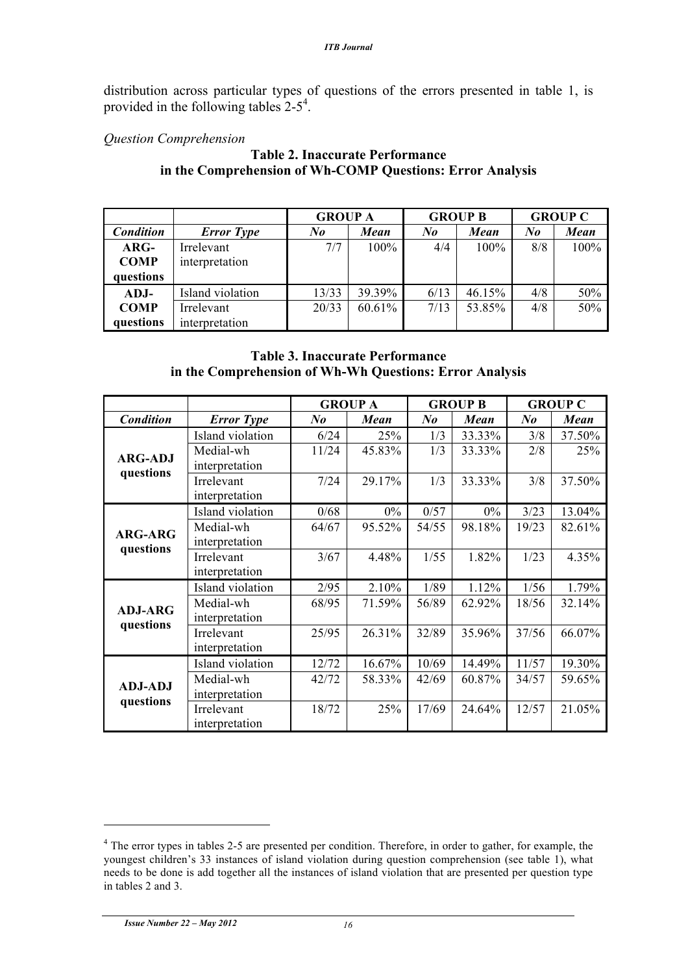distribution across particular types of questions of the errors presented in table 1, is provided in the following tables  $2-5^4$ .

#### *Question Comprehension*

#### **Table 2. Inaccurate Performance in the Comprehension of Wh-COMP Questions: Error Analysis**

|                  |                   | <b>GROUP A</b> |        | <b>GROUP B</b>            |        | <b>GROUP C</b> |      |
|------------------|-------------------|----------------|--------|---------------------------|--------|----------------|------|
| <b>Condition</b> | <b>Error</b> Type | No             | Mean   | $N_{\boldsymbol{\theta}}$ | Mean   | No             | Mean |
| $\rm{ARG-}$      | Irrelevant        | 7/7            | 100%   | 4/4                       | 100%   | 8/8            | 100% |
| <b>COMP</b>      | interpretation    |                |        |                           |        |                |      |
| questions        |                   |                |        |                           |        |                |      |
| ADJ-             | Island violation  | 13/33          | 39.39% | 6/13                      | 46.15% | 4/8            | 50%  |
| <b>COMP</b>      | Irrelevant        | 20/33          | 60.61% | 7/13                      | 53.85% | 4/8            | 50%  |
| questions        | interpretation    |                |        |                           |        |                |      |

#### **Table 3. Inaccurate Performance in the Comprehension of Wh-Wh Questions: Error Analysis**

|                             |                   | <b>GROUP A</b> |        | <b>GROUP B</b> |        | <b>GROUP C</b>       |        |
|-----------------------------|-------------------|----------------|--------|----------------|--------|----------------------|--------|
| <b>Condition</b>            | <b>Error</b> Type | $N_{0}$        | Mean   | $N_{0}$        | Mean   | $N_{\boldsymbol{0}}$ | Mean   |
| <b>ARG-ADJ</b>              | Island violation  | 6/24           | 25%    | 1/3            | 33.33% | 3/8                  | 37.50% |
|                             | Medial-wh         | 11/24          | 45.83% | 1/3            | 33.33% | 2/8                  | 25%    |
| questions                   | interpretation    |                |        |                |        |                      |        |
|                             | Irrelevant        | 7/24           | 29.17% | 1/3            | 33.33% | 3/8                  | 37.50% |
|                             | interpretation    |                |        |                |        |                      |        |
|                             | Island violation  | 0/68           | $0\%$  | 0/57           | $0\%$  | 3/23                 | 13.04% |
| <b>ARG-ARG</b>              | Medial-wh         | 64/67          | 95.52% | 54/55          | 98.18% | 19/23                | 82.61% |
| questions                   | interpretation    |                |        |                |        |                      |        |
|                             | Irrelevant        | 3/67           | 4.48%  | 1/55           | 1.82%  | 1/23                 | 4.35%  |
|                             | interpretation    |                |        |                |        |                      |        |
|                             | Island violation  | 2/95           | 2.10%  | 1/89           | 1.12%  | 1/56                 | 1.79%  |
| <b>ADJ-ARG</b>              | Medial-wh         | 68/95          | 71.59% | 56/89          | 62.92% | 18/56                | 32.14% |
| questions                   | interpretation    |                |        |                |        |                      |        |
|                             | Irrelevant        | 25/95          | 26.31% | 32/89          | 35.96% | 37/56                | 66.07% |
|                             | interpretation    |                |        |                |        |                      |        |
| <b>ADJ-ADJ</b><br>questions | Island violation  | 12/72          | 16.67% | 10/69          | 14.49% | 11/57                | 19.30% |
|                             | Medial-wh         | 42/72          | 58.33% | 42/69          | 60.87% | 34/57                | 59.65% |
|                             | interpretation    |                |        |                |        |                      |        |
|                             | Irrelevant        | 18/72          | 25%    | 17/69          | 24.64% | 12/57                | 21.05% |
|                             | interpretation    |                |        |                |        |                      |        |

<sup>&</sup>lt;sup>4</sup> The error types in tables 2-5 are presented per condition. Therefore, in order to gather, for example, the youngest children's 33 instances of island violation during question comprehension (see table 1), what needs to be done is add together all the instances of island violation that are presented per question type in tables 2 and 3.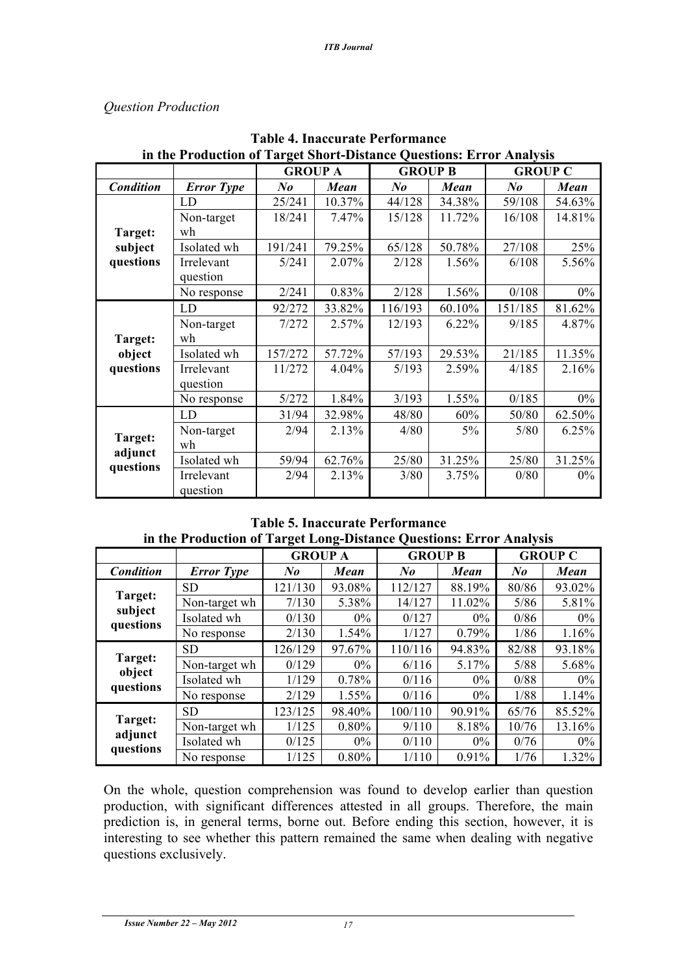# *Question Production*

|                                 |                        | <b>GROUP A</b> |        | <b>GROUP B</b> |        | <b>GROUP C</b> |        |
|---------------------------------|------------------------|----------------|--------|----------------|--------|----------------|--------|
| <b>Condition</b>                | <b>Error</b> Type      | $N_{0}$        | Mean   | $N_{0}$        | Mean   | $N_{0}$        | Mean   |
|                                 | LD                     | 25/241         | 10.37% | 44/128         | 34.38% | 59/108         | 54.63% |
|                                 | Non-target             | 18/241         | 7.47%  | 15/128         | 11.72% | 16/108         | 14.81% |
| Target:                         | wh                     |                |        |                |        |                |        |
| subject                         | Isolated wh            | 191/241        | 79.25% | 65/128         | 50.78% | 27/108         | 25%    |
| questions                       | Irrelevant             | 5/241          | 2.07%  | 2/128          | 1.56%  | 6/108          | 5.56%  |
|                                 | question               | 2/241          | 0.83%  | 2/128          | 1.56%  | 0/108          | $0\%$  |
|                                 | No response            |                |        |                |        |                |        |
|                                 | <b>LD</b>              | 92/272         | 33.82% | 116/193        | 60.10% | 151/185        | 81.62% |
|                                 | Non-target             | 7/272          | 2.57%  | 12/193         | 6.22%  | 9/185          | 4.87%  |
| Target:<br>object<br>questions  | wh                     |                |        |                |        |                |        |
|                                 | Isolated wh            | 157/272        | 57.72% | 57/193         | 29.53% | 21/185         | 11.35% |
|                                 | Irrelevant             | 11/272         | 4.04%  | 5/193          | 2.59%  | 4/185          | 2.16%  |
|                                 | question               |                |        |                |        |                |        |
|                                 | No response            | 5/272          | 1.84%  | 3/193          | 1.55%  | 0/185          | $0\%$  |
| Target:<br>adjunct<br>questions | LD                     | 31/94          | 32.98% | 48/80          | 60%    | 50/80          | 62.50% |
|                                 | Non-target             | 2/94           | 2.13%  | 4/80           | $5\%$  | 5/80           | 6.25%  |
|                                 | wh                     |                |        |                |        |                |        |
|                                 | Isolated wh            | 59/94          | 62.76% | 25/80          | 31.25% | 25/80          | 31.25% |
|                                 | Irrelevant<br>question | 2/94           | 2.13%  | 3/80           | 3.75%  | 0/80           | $0\%$  |

**Table 4. Inaccurate Performance in the Production of Target Short-Distance Questions: Error Analysis**

**Table 5. Inaccurate Performance in the Production of Target Long-Distance Questions: Error Analysis**

|                                 |                   | <b>GROUP A</b> |          | <b>GROUP B</b>            |          | <b>GROUP C</b>            |        |
|---------------------------------|-------------------|----------------|----------|---------------------------|----------|---------------------------|--------|
| <b>Condition</b>                | <b>Error Type</b> | $\mathbf{N}$ o | Mean     | $N_{\boldsymbol{\theta}}$ | Mean     | $N_{\boldsymbol{\theta}}$ | Mean   |
| Target:<br>subject<br>questions | <b>SD</b>         | 121/130        | 93.08%   | 112/127                   | 88.19%   | 80/86                     | 93.02% |
|                                 | Non-target wh     | 7/130          | 5.38%    | 14/127                    | 11.02%   | 5/86                      | 5.81%  |
|                                 | Isolated wh       | 0/130          | $0\%$    | 0/127                     | $0\%$    | 0/86                      | $0\%$  |
|                                 | No response       | 2/130          | 1.54%    | 1/127                     | $0.79\%$ | 1/86                      | 1.16%  |
| Target:<br>object<br>questions  | <b>SD</b>         | 126/129        | 97.67%   | 110/116                   | 94.83%   | 82/88                     | 93.18% |
|                                 | Non-target wh     | 0/129          | $0\%$    | 6/116                     | 5.17%    | 5/88                      | 5.68%  |
|                                 | Isolated wh       | 1/129          | 0.78%    | 0/116                     | $0\%$    | 0/88                      | $0\%$  |
|                                 | No response       | 2/129          | 1.55%    | 0/116                     | $0\%$    | 1/88                      | 1.14%  |
| Target:<br>adjunct<br>questions | <b>SD</b>         | 123/125        | 98.40%   | 100/110                   | 90.91%   | 65/76                     | 85.52% |
|                                 | Non-target wh     | 1/125          | $0.80\%$ | 9/110                     | 8.18%    | 10/76                     | 13.16% |
|                                 | Isolated wh       | 0/125          | $0\%$    | 0/110                     | $0\%$    | 0/76                      | $0\%$  |
|                                 | No response       | 1/125          | 0.80%    | 1/110                     | 0.91%    | 1/76                      | 1.32%  |

On the whole, question comprehension was found to develop earlier than question production, with significant differences attested in all groups. Therefore, the main prediction is, in general terms, borne out. Before ending this section, however, it is interesting to see whether this pattern remained the same when dealing with negative questions exclusively.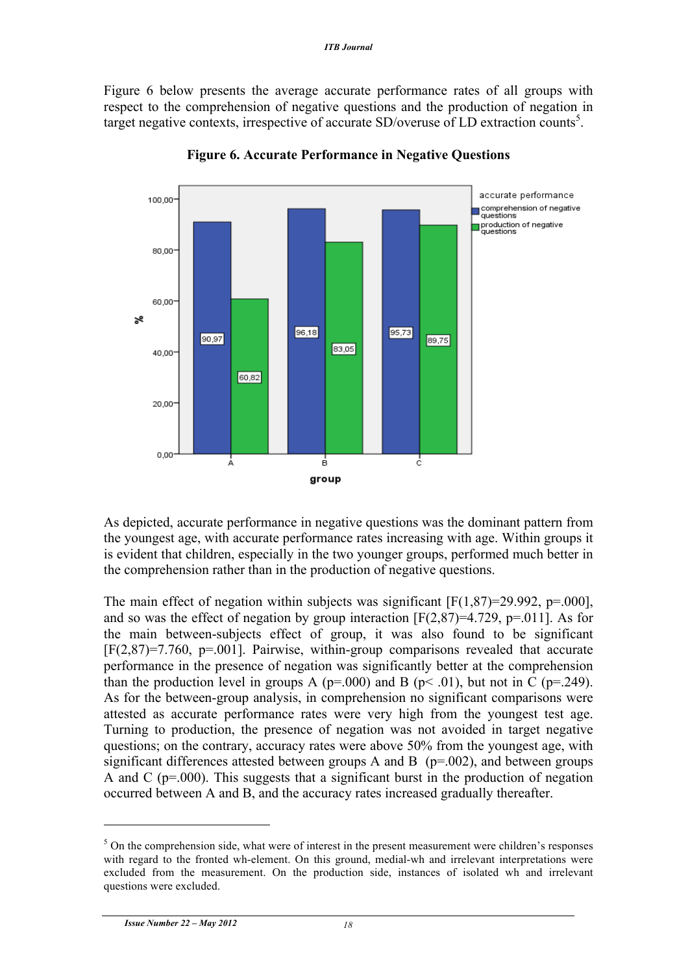Figure 6 below presents the average accurate performance rates of all groups with respect to the comprehension of negative questions and the production of negation in target negative contexts, irrespective of accurate SD/overuse of LD extraction counts<sup>5</sup>.



**Figure 6. Accurate Performance in Negative Questions**

As depicted, accurate performance in negative questions was the dominant pattern from the youngest age, with accurate performance rates increasing with age. Within groups it is evident that children, especially in the two younger groups, performed much better in the comprehension rather than in the production of negative questions.

The main effect of negation within subjects was significant  $[F(1,87)=29.992, p=.000]$ , and so was the effect of negation by group interaction  $[F(2,87)=4.729, p=.011]$ . As for the main between-subjects effect of group, it was also found to be significant  $[F(2,87)=7.760, p=.001]$ . Pairwise, within-group comparisons revealed that accurate performance in the presence of negation was significantly better at the comprehension than the production level in groups A ( $p=000$ ) and B ( $p<01$ ), but not in C ( $p=.249$ ). As for the between-group analysis, in comprehension no significant comparisons were attested as accurate performance rates were very high from the youngest test age. Turning to production, the presence of negation was not avoided in target negative questions; on the contrary, accuracy rates were above 50% from the youngest age, with significant differences attested between groups A and B  $(p=.002)$ , and between groups A and C ( $p=0.00$ ). This suggests that a significant burst in the production of negation occurred between A and B, and the accuracy rates increased gradually thereafter.

<sup>&</sup>lt;sup>5</sup> On the comprehension side, what were of interest in the present measurement were children's responses with regard to the fronted wh-element. On this ground, medial-wh and irrelevant interpretations were excluded from the measurement. On the production side, instances of isolated wh and irrelevant questions were excluded.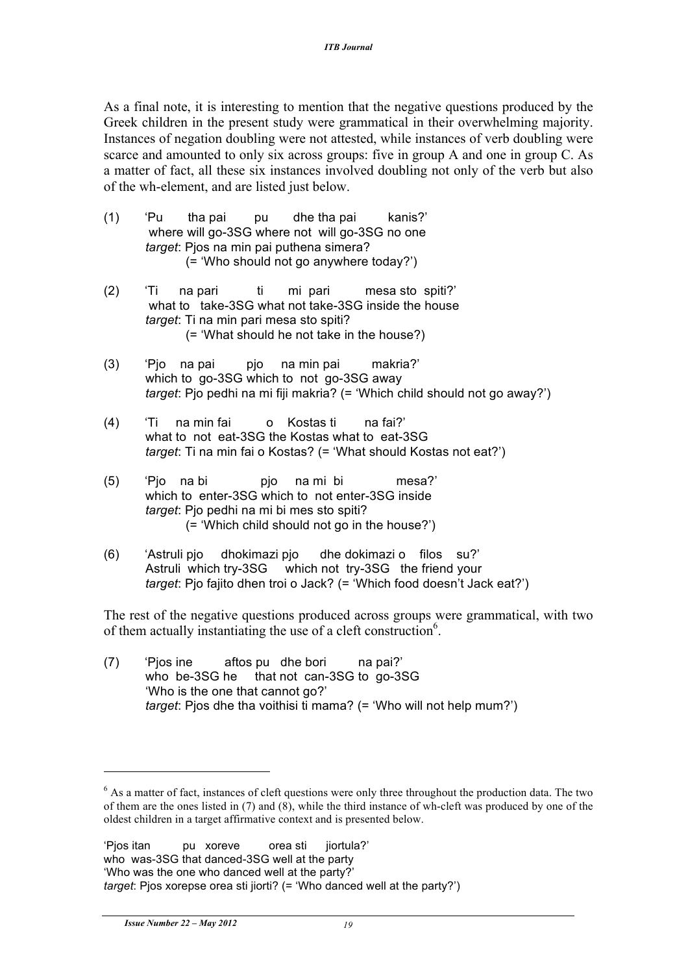As a final note, it is interesting to mention that the negative questions produced by the Greek children in the present study were grammatical in their overwhelming majority. Instances of negation doubling were not attested, while instances of verb doubling were scarce and amounted to only six across groups: five in group A and one in group C. As a matter of fact, all these six instances involved doubling not only of the verb but also of the wh-element, and are listed just below.

- (1) 'Pu tha pai pu dhe tha pai kanis?' where will go-3SG where not will go-3SG no one *target*: Pjos na min pai puthena simera? (= 'Who should not go anywhere today?')
- (2) 'Ti na pari ti mi pari mesa sto spiti?' what to take-3SG what not take-3SG inside the house *target*: Ti na min pari mesa sto spiti? (= 'What should he not take in the house?)
- (3) 'Pjo na pai pjo na min pai makria?' which to go-3SG which to not go-3SG away *target*: Pjo pedhi na mi fiji makria? (= 'Which child should not go away?')
- (4) 'Ti na min fai o Kostas ti na fai?' what to not eat-3SG the Kostas what to eat-3SG *target*: Ti na min fai o Kostas? (= 'What should Kostas not eat?')
- (5) 'Pjo na bi pjo na mi bi mesa?' which to enter-3SG which to not enter-3SG inside *target*: Pjo pedhi na mi bi mes sto spiti? (= 'Which child should not go in the house?')
- (6) 'Astruli pjo dhokimazi pjo dhe dokimazi o filos su?' Astruli which try-3SG which not try-3SG the friend your *target*: Pjo fajito dhen troi o Jack? (= 'Which food doesn't Jack eat?')

The rest of the negative questions produced across groups were grammatical, with two of them actually instantiating the use of a cleft construction<sup>6</sup>.

(7) 'Pjos ine aftos pu dhe bori na pai?' who be-3SG he that not can-3SG to go-3SG 'Who is the one that cannot go?' *target*: Pjos dhe tha voithisi ti mama? (= 'Who will not help mum?')

<sup>&</sup>lt;sup>6</sup> As a matter of fact, instances of cleft questions were only three throughout the production data. The two of them are the ones listed in (7) and (8), while the third instance of wh-cleft was produced by one of the oldest children in a target affirmative context and is presented below.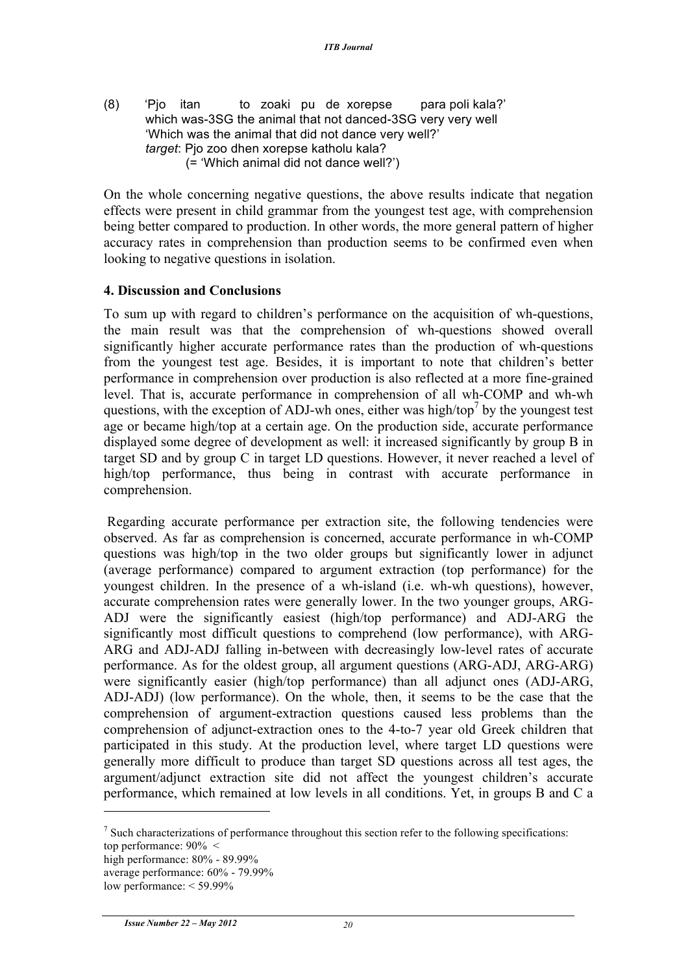(8) 'Pjo itan to zoaki pu de xorepse para poli kala?' which was-3SG the animal that not danced-3SG very very well 'Which was the animal that did not dance very well?' *target*: Pjo zoo dhen xorepse katholu kala? (= 'Which animal did not dance well?')

On the whole concerning negative questions, the above results indicate that negation effects were present in child grammar from the youngest test age, with comprehension being better compared to production. In other words, the more general pattern of higher accuracy rates in comprehension than production seems to be confirmed even when looking to negative questions in isolation.

# **4. Discussion and Conclusions**

To sum up with regard to children's performance on the acquisition of wh-questions, the main result was that the comprehension of wh-questions showed overall significantly higher accurate performance rates than the production of wh-questions from the youngest test age. Besides, it is important to note that children's better performance in comprehension over production is also reflected at a more fine-grained level. That is, accurate performance in comprehension of all wh-COMP and wh-wh questions, with the exception of ADJ-wh ones, either was high/top<sup> $\prime$ </sup> by the youngest test age or became high/top at a certain age. On the production side, accurate performance displayed some degree of development as well: it increased significantly by group B in target SD and by group C in target LD questions. However, it never reached a level of high/top performance, thus being in contrast with accurate performance in comprehension.

Regarding accurate performance per extraction site, the following tendencies were observed. As far as comprehension is concerned, accurate performance in wh-COMP questions was high/top in the two older groups but significantly lower in adjunct (average performance) compared to argument extraction (top performance) for the youngest children. In the presence of a wh-island (i.e. wh-wh questions), however, accurate comprehension rates were generally lower. In the two younger groups, ARG-ADJ were the significantly easiest (high/top performance) and ADJ-ARG the significantly most difficult questions to comprehend (low performance), with ARG-ARG and ADJ-ADJ falling in-between with decreasingly low-level rates of accurate performance. As for the oldest group, all argument questions (ARG-ADJ, ARG-ARG) were significantly easier (high/top performance) than all adjunct ones (ADJ-ARG, ADJ-ADJ) (low performance). On the whole, then, it seems to be the case that the comprehension of argument-extraction questions caused less problems than the comprehension of adjunct-extraction ones to the 4-to-7 year old Greek children that participated in this study. At the production level, where target LD questions were generally more difficult to produce than target SD questions across all test ages, the argument/adjunct extraction site did not affect the youngest children's accurate performance, which remained at low levels in all conditions. Yet, in groups B and C a

 $<sup>7</sup>$  Such characterizations of performance throughout this section refer to the following specifications:</sup> top performance:  $90\% <$ high performance:  $80\%$  -  $89.99\%$ 

average performance: 60% - 79.99%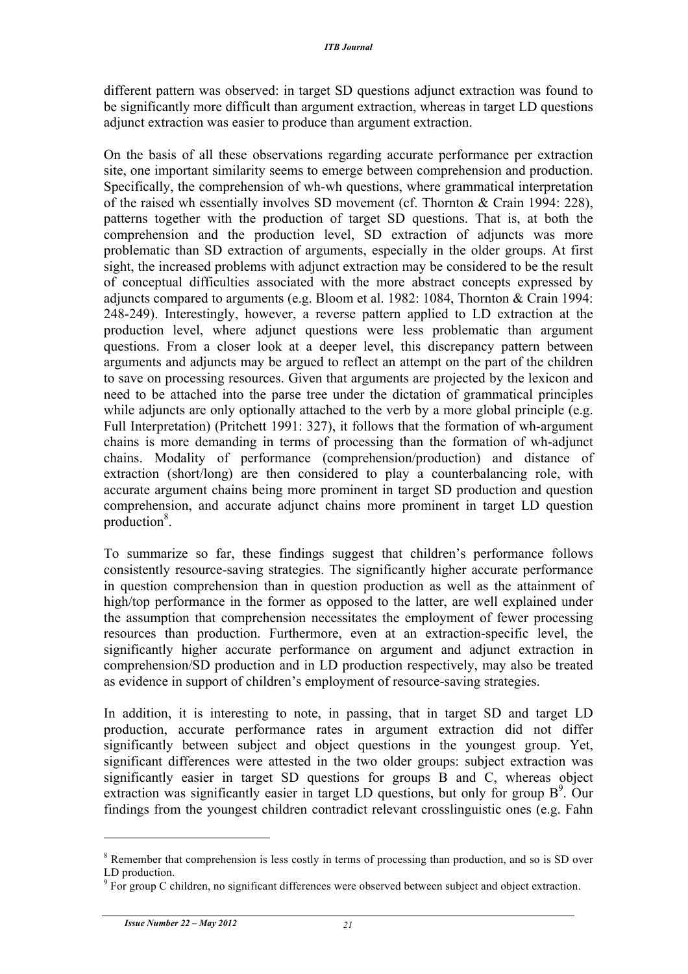different pattern was observed: in target SD questions adjunct extraction was found to be significantly more difficult than argument extraction, whereas in target LD questions adjunct extraction was easier to produce than argument extraction.

On the basis of all these observations regarding accurate performance per extraction site, one important similarity seems to emerge between comprehension and production. Specifically, the comprehension of wh-wh questions, where grammatical interpretation of the raised wh essentially involves SD movement (cf. Thornton & Crain 1994: 228), patterns together with the production of target SD questions. That is, at both the comprehension and the production level, SD extraction of adjuncts was more problematic than SD extraction of arguments, especially in the older groups. At first sight, the increased problems with adjunct extraction may be considered to be the result of conceptual difficulties associated with the more abstract concepts expressed by adjuncts compared to arguments (e.g. Bloom et al. 1982: 1084, Thornton & Crain 1994: 248-249). Interestingly, however, a reverse pattern applied to LD extraction at the production level, where adjunct questions were less problematic than argument questions. From a closer look at a deeper level, this discrepancy pattern between arguments and adjuncts may be argued to reflect an attempt on the part of the children to save on processing resources. Given that arguments are projected by the lexicon and need to be attached into the parse tree under the dictation of grammatical principles while adjuncts are only optionally attached to the verb by a more global principle (e.g. Full Interpretation) (Pritchett 1991: 327), it follows that the formation of wh-argument chains is more demanding in terms of processing than the formation of wh-adjunct chains. Modality of performance (comprehension/production) and distance of extraction (short/long) are then considered to play a counterbalancing role, with accurate argument chains being more prominent in target SD production and question comprehension, and accurate adjunct chains more prominent in target LD question production<sup>8</sup>.

To summarize so far, these findings suggest that children's performance follows consistently resource-saving strategies. The significantly higher accurate performance in question comprehension than in question production as well as the attainment of high/top performance in the former as opposed to the latter, are well explained under the assumption that comprehension necessitates the employment of fewer processing resources than production. Furthermore, even at an extraction-specific level, the significantly higher accurate performance on argument and adjunct extraction in comprehension/SD production and in LD production respectively, may also be treated as evidence in support of children's employment of resource-saving strategies.

In addition, it is interesting to note, in passing, that in target SD and target LD production, accurate performance rates in argument extraction did not differ significantly between subject and object questions in the youngest group. Yet, significant differences were attested in the two older groups: subject extraction was significantly easier in target SD questions for groups B and C, whereas object extraction was significantly easier in target LD questions, but only for group B<sup>9</sup>. Our findings from the youngest children contradict relevant crosslinguistic ones (e.g. Fahn

<sup>8</sup> Remember that comprehension is less costly in terms of processing than production, and so is SD over LD production.

 $9\,\mathrm{For\thinspace group\thinspace C\thinspace children, no\thinspace significant\thinspace differences\thinspace were\ observed\ between\ subject\ and\ object\ extraction.}$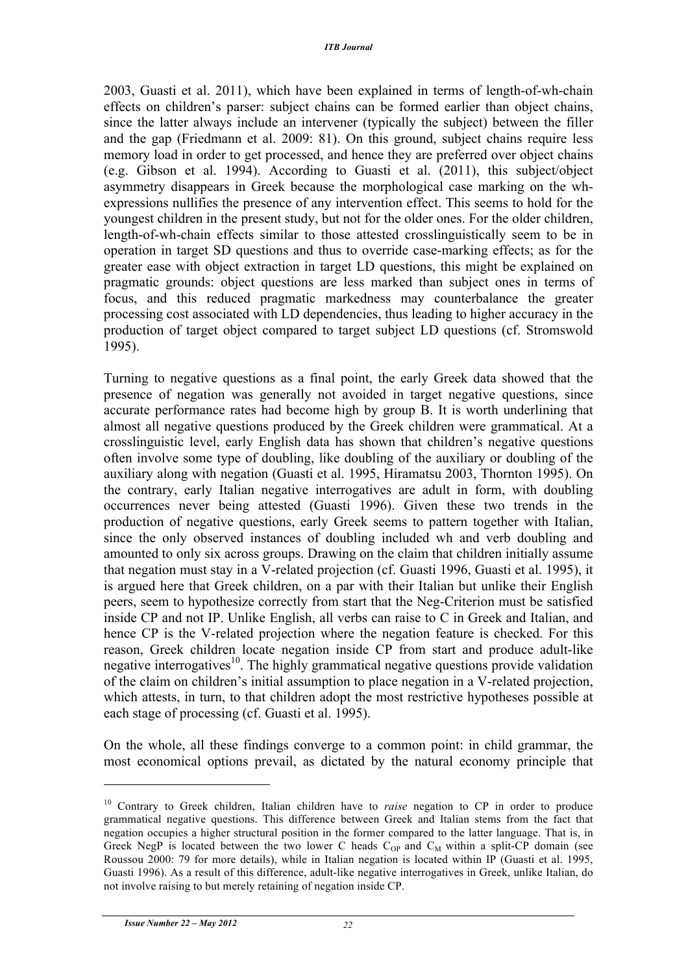2003, Guasti et al. 2011), which have been explained in terms of length-of-wh-chain effects on children's parser: subject chains can be formed earlier than object chains, since the latter always include an intervener (typically the subject) between the filler and the gap (Friedmann et al. 2009: 81). On this ground, subject chains require less memory load in order to get processed, and hence they are preferred over object chains (e.g. Gibson et al. 1994). According to Guasti et al. (2011), this subject/object asymmetry disappears in Greek because the morphological case marking on the whexpressions nullifies the presence of any intervention effect. This seems to hold for the youngest children in the present study, but not for the older ones. For the older children, length-of-wh-chain effects similar to those attested crosslinguistically seem to be in operation in target SD questions and thus to override case-marking effects; as for the greater ease with object extraction in target LD questions, this might be explained on pragmatic grounds: object questions are less marked than subject ones in terms of focus, and this reduced pragmatic markedness may counterbalance the greater processing cost associated with LD dependencies, thus leading to higher accuracy in the production of target object compared to target subject LD questions (cf. Stromswold 1995).

Turning to negative questions as a final point, the early Greek data showed that the presence of negation was generally not avoided in target negative questions, since accurate performance rates had become high by group B. It is worth underlining that almost all negative questions produced by the Greek children were grammatical. At a crosslinguistic level, early English data has shown that children's negative questions often involve some type of doubling, like doubling of the auxiliary or doubling of the auxiliary along with negation (Guasti et al. 1995, Hiramatsu 2003, Thornton 1995). On the contrary, early Italian negative interrogatives are adult in form, with doubling occurrences never being attested (Guasti 1996). Given these two trends in the production of negative questions, early Greek seems to pattern together with Italian, since the only observed instances of doubling included wh and verb doubling and amounted to only six across groups. Drawing on the claim that children initially assume that negation must stay in a V-related projection (cf. Guasti 1996, Guasti et al. 1995), it is argued here that Greek children, on a par with their Italian but unlike their English peers, seem to hypothesize correctly from start that the Neg-Criterion must be satisfied inside CP and not IP. Unlike English, all verbs can raise to C in Greek and Italian, and hence CP is the V-related projection where the negation feature is checked. For this reason, Greek children locate negation inside CP from start and produce adult-like negative interrogatives<sup>10</sup>. The highly grammatical negative questions provide validation of the claim on children's initial assumption to place negation in a V-related projection, which attests, in turn, to that children adopt the most restrictive hypotheses possible at each stage of processing (cf. Guasti et al. 1995).

On the whole, all these findings converge to a common point: in child grammar, the most economical options prevail, as dictated by the natural economy principle that

<sup>&</sup>lt;sup>10</sup> Contrary to Greek children, Italian children have to *raise* negation to CP in order to produce grammatical negative questions. This difference between Greek and Italian stems from the fact that negation occupies a higher structural position in the former compared to the latter language. That is, in Greek NegP is located between the two lower C heads  $C_{OP}$  and  $C_M$  within a split-CP domain (see Roussou 2000: 79 for more details), while in Italian negation is located within IP (Guasti et al. 1995, Guasti 1996). As a result of this difference, adult-like negative interrogatives in Greek, unlike Italian, do not involve raising to but merely retaining of negation inside CP.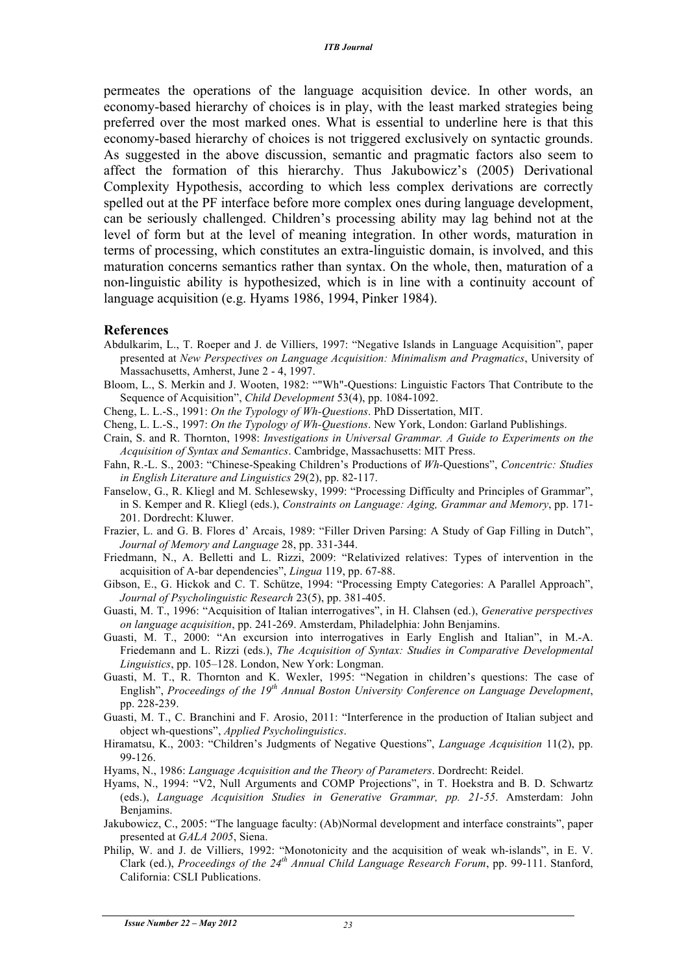permeates the operations of the language acquisition device. In other words, an economy-based hierarchy of choices is in play, with the least marked strategies being preferred over the most marked ones. What is essential to underline here is that this economy-based hierarchy of choices is not triggered exclusively on syntactic grounds. As suggested in the above discussion, semantic and pragmatic factors also seem to affect the formation of this hierarchy. Thus Jakubowicz's (2005) Derivational Complexity Hypothesis, according to which less complex derivations are correctly spelled out at the PF interface before more complex ones during language development, can be seriously challenged. Children's processing ability may lag behind not at the level of form but at the level of meaning integration. In other words, maturation in terms of processing, which constitutes an extra-linguistic domain, is involved, and this maturation concerns semantics rather than syntax. On the whole, then, maturation of a non-linguistic ability is hypothesized, which is in line with a continuity account of language acquisition (e.g. Hyams 1986, 1994, Pinker 1984).

#### **References**

- Abdulkarim, L., T. Roeper and J. de Villiers, 1997: "Negative Islands in Language Acquisition", paper presented at *New Perspectives on Language Acquisition: Minimalism and Pragmatics*, University of Massachusetts, Amherst, June 2 - 4, 1997.
- Bloom, L., S. Merkin and J. Wooten, 1982: ""Wh"-Questions: Linguistic Factors That Contribute to the Sequence of Acquisition", *Child Development* 53(4), pp. 1084-1092.
- Cheng, L. L.-S., 1991: *On the Typology of Wh-Questions*. PhD Dissertation, MIT.
- Cheng, L. L.-S., 1997: *On the Typology of Wh-Questions*. New York, London: Garland Publishings.
- Crain, S. and R. Thornton, 1998: *Investigations in Universal Grammar. A Guide to Experiments on the Acquisition of Syntax and Semantics*. Cambridge, Massachusetts: MIT Press.
- Fahn, R.-L. S., 2003: "Chinese-Speaking Children's Productions of *Wh*-Questions", *Concentric: Studies in English Literature and Linguistics* 29(2), pp. 82-117.
- Fanselow, G., R. Kliegl and M. Schlesewsky, 1999: "Processing Difficulty and Principles of Grammar", in S. Kemper and R. Kliegl (eds.), *Constraints on Language: Aging, Grammar and Memory*, pp. 171- 201. Dordrecht: Kluwer.
- Frazier, L. and G. B. Flores d' Arcais, 1989: "Filler Driven Parsing: A Study of Gap Filling in Dutch", *Journal of Memory and Language* 28, pp. 331-344.
- Friedmann, N., A. Belletti and L. Rizzi, 2009: "Relativized relatives: Types of intervention in the acquisition of A-bar dependencies", *Lingua* 119, pp. 67-88.
- Gibson, E., G. Hickok and C. T. Schütze, 1994: "Processing Empty Categories: A Parallel Approach", *Journal of Psycholinguistic Research* 23(5), pp. 381-405.
- Guasti, M. T., 1996: "Acquisition of Italian interrogatives", in H. Clahsen (ed.), *Generative perspectives on language acquisition*, pp. 241-269. Amsterdam, Philadelphia: John Benjamins.
- Guasti, M. T., 2000: "An excursion into interrogatives in Early English and Italian", in M.-A. Friedemann and L. Rizzi (eds.), *The Acquisition of Syntax: Studies in Comparative Developmental Linguistics*, pp. 105–128. London, New York: Longman.
- Guasti, M. T., R. Thornton and K. Wexler, 1995: "Negation in children's questions: The case of English", *Proceedings of the 19th Annual Boston University Conference on Language Development*, pp. 228-239.
- Guasti, M. T., C. Branchini and F. Arosio, 2011: "Interference in the production of Italian subject and object wh-questions", *Applied Psycholinguistics*.
- Hiramatsu, K., 2003: "Children's Judgments of Negative Questions", *Language Acquisition* 11(2), pp. 99-126.
- Hyams, N., 1986: *Language Acquisition and the Theory of Parameters*. Dordrecht: Reidel.
- Hyams, N., 1994: "V2, Null Arguments and COMP Projections", in T. Hoekstra and B. D. Schwartz (eds.), *Language Acquisition Studies in Generative Grammar, pp. 21-55*. Amsterdam: John Benjamins.
- Jakubowicz, C., 2005: "The language faculty: (Ab)Normal development and interface constraints", paper presented at *GALA 2005*, Siena.
- Philip, W. and J. de Villiers, 1992: "Monotonicity and the acquisition of weak wh-islands", in E. V. Clark (ed.), *Proceedings of the 24th Annual Child Language Research Forum*, pp. 99-111. Stanford, California: CSLI Publications.